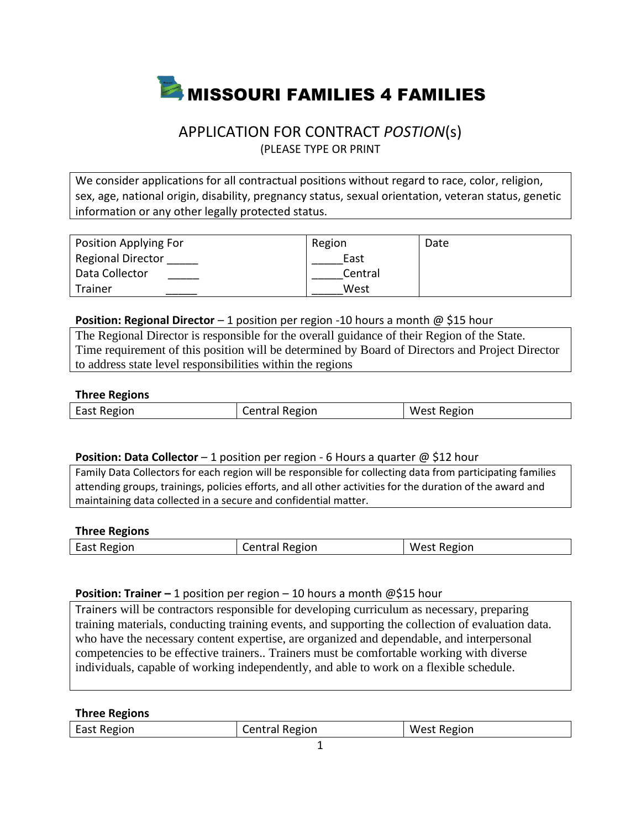# **MISSOURI FAMILIES 4 FAMILIES**

### APPLICATION FOR CONTRACT *POSTION*(s) (PLEASE TYPE OR PRINT

We consider applications for all contractual positions without regard to race, color, religion, sex, age, national origin, disability, pregnancy status, sexual orientation, veteran status, genetic information or any other legally protected status.

| Position Applying For | Region  | Date |
|-----------------------|---------|------|
| Regional Director     | East    |      |
| Data Collector        | Central |      |
| Trainer               | West    |      |

#### **Position: Regional Director** – 1 position per region -10 hours a month @ \$15 hour

The Regional Director is responsible for the overall guidance of their Region of the State. Time requirement of this position will be determined by Board of Directors and Project Director to address state level responsibilities within the regions

#### **Three Regions**

| <b>East Region</b> | Central Region | <b>West Region</b> |
|--------------------|----------------|--------------------|
|                    |                |                    |

#### **Position: Data Collector** – 1 position per region - 6 Hours a quarter @ \$12 hour

Family Data Collectors for each region will be responsible for collecting data from participating families attending groups, trainings, policies efforts, and all other activities for the duration of the award and maintaining data collected in a secure and confidential matter.

#### **Three Regions**

| <b>East Region</b> | <b>Central Region</b> | <b>West Region</b> |
|--------------------|-----------------------|--------------------|
|                    |                       |                    |

#### **Position: Trainer –** 1 position per region – 10 hours a month @\$15 hour

Trainers will be contractors responsible for developing curriculum as necessary, preparing training materials, conducting training events, and supporting the collection of evaluation data. who have the necessary content expertise, are organized and dependable, and interpersonal competencies to be effective trainers.. Trainers must be comfortable working with diverse individuals, capable of working independently, and able to work on a flexible schedule.

#### **Three Regions**

|  | <b>East Region</b> | Central Region | <b>West Region</b> |
|--|--------------------|----------------|--------------------|
|--|--------------------|----------------|--------------------|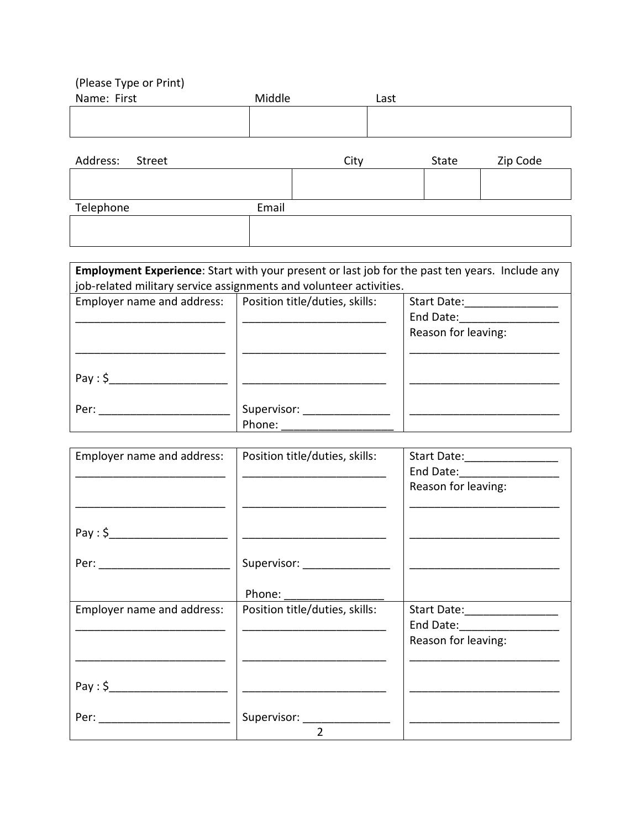## (Please Type or Print)

| Name: First        | Middle |      | Last |       |          |
|--------------------|--------|------|------|-------|----------|
|                    |        |      |      |       |          |
|                    |        |      |      |       |          |
| Address:<br>Street |        | City |      | State | Zip Code |
|                    |        |      |      |       |          |
| Telephone          | Email  |      |      |       |          |
|                    |        |      |      |       |          |

| Employment Experience: Start with your present or last job for the past ten years. Include any<br>job-related military service assignments and volunteer activities. |                       |                                                 |  |  |
|----------------------------------------------------------------------------------------------------------------------------------------------------------------------|-----------------------|-------------------------------------------------|--|--|
| Employer name and address: $\vert$ Position title/duties, skills:                                                                                                    |                       | Start Date:<br>End Date:<br>Reason for leaving: |  |  |
| Pay: \$                                                                                                                                                              |                       |                                                 |  |  |
| Per:                                                                                                                                                                 | Supervisor:<br>Phone: |                                                 |  |  |

| Employer name and address:       | Position title/duties, skills:                 | Start Date:__________________<br>End Date:____________________<br>Reason for leaving: |
|----------------------------------|------------------------------------------------|---------------------------------------------------------------------------------------|
|                                  |                                                |                                                                                       |
|                                  |                                                |                                                                                       |
|                                  |                                                |                                                                                       |
| Employer name and address:       | Position title/duties, skills:                 | Start Date:__________________<br>End Date: ___________________<br>Reason for leaving: |
| Pay: \$_________________________ |                                                |                                                                                       |
|                                  | Supervisor: ________________<br>$\overline{2}$ |                                                                                       |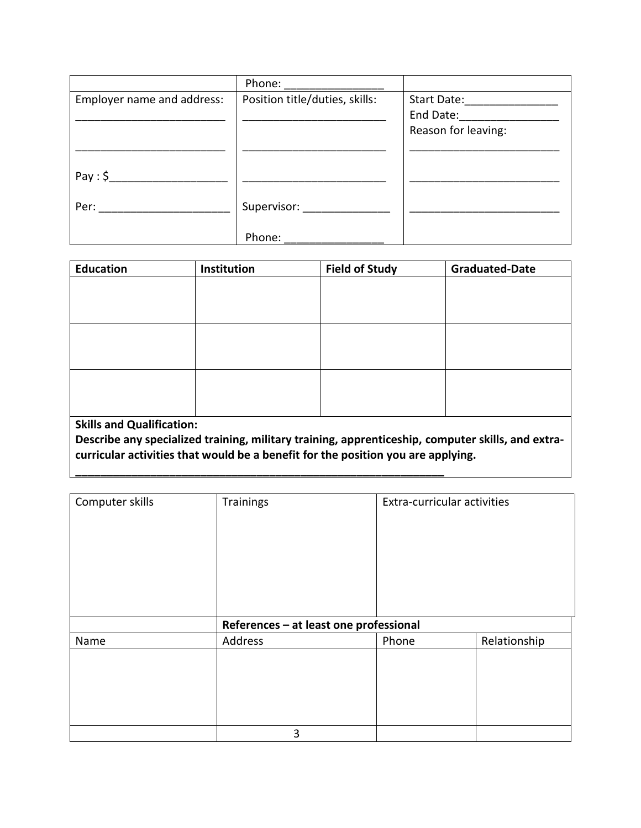|                            | Phone:                         |                                                 |
|----------------------------|--------------------------------|-------------------------------------------------|
| Employer name and address: | Position title/duties, skills: | Start Date:<br>End Date:<br>Reason for leaving: |
| Pay: \$                    |                                |                                                 |
| Per:                       | Supervisor: Supervisor:        |                                                 |
|                            | Phone:                         |                                                 |

| <b>Education</b>                                                                                                                                                                      | Institution | <b>Field of Study</b> | <b>Graduated-Date</b> |  |
|---------------------------------------------------------------------------------------------------------------------------------------------------------------------------------------|-------------|-----------------------|-----------------------|--|
|                                                                                                                                                                                       |             |                       |                       |  |
|                                                                                                                                                                                       |             |                       |                       |  |
|                                                                                                                                                                                       |             |                       |                       |  |
|                                                                                                                                                                                       |             |                       |                       |  |
|                                                                                                                                                                                       |             |                       |                       |  |
|                                                                                                                                                                                       |             |                       |                       |  |
|                                                                                                                                                                                       |             |                       |                       |  |
|                                                                                                                                                                                       |             |                       |                       |  |
|                                                                                                                                                                                       |             |                       |                       |  |
| <b>Skills and Qualification:</b>                                                                                                                                                      |             |                       |                       |  |
| Describe any specialized training, military training, apprenticeship, computer skills, and extra-<br>curricular activities that would be a benefit for the position you are applying. |             |                       |                       |  |

**\_\_\_\_\_\_\_\_\_\_\_\_\_\_\_\_\_\_\_\_\_\_\_\_\_\_\_\_\_\_\_\_\_\_\_\_\_\_\_\_\_\_\_\_\_\_\_\_\_\_\_\_\_\_\_\_\_\_\_**

| Computer skills | Trainings                              | Extra-curricular activities |              |
|-----------------|----------------------------------------|-----------------------------|--------------|
|                 |                                        |                             |              |
|                 |                                        |                             |              |
|                 |                                        |                             |              |
|                 |                                        |                             |              |
|                 |                                        |                             |              |
|                 | References - at least one professional |                             |              |
| Name            | Address                                | Phone                       | Relationship |
|                 |                                        |                             |              |
|                 |                                        |                             |              |
|                 |                                        |                             |              |
|                 |                                        |                             |              |
|                 | 3                                      |                             |              |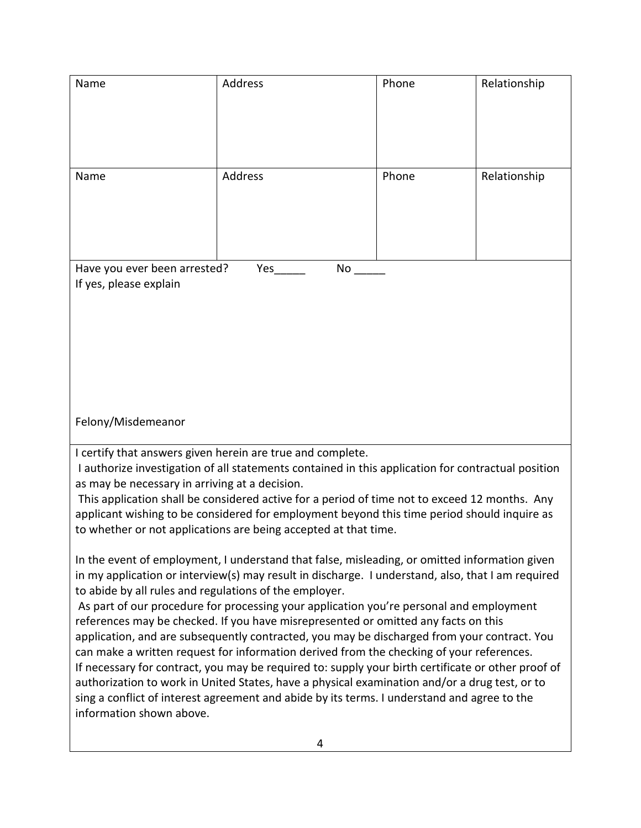| Name                                                                                                                                                                                                                                                                                                                                                                                                                                                                                                                                                                                                                                                                                                                                                                                                                                                                                                                                                                       | Address | Phone | Relationship |  |
|----------------------------------------------------------------------------------------------------------------------------------------------------------------------------------------------------------------------------------------------------------------------------------------------------------------------------------------------------------------------------------------------------------------------------------------------------------------------------------------------------------------------------------------------------------------------------------------------------------------------------------------------------------------------------------------------------------------------------------------------------------------------------------------------------------------------------------------------------------------------------------------------------------------------------------------------------------------------------|---------|-------|--------------|--|
| Name                                                                                                                                                                                                                                                                                                                                                                                                                                                                                                                                                                                                                                                                                                                                                                                                                                                                                                                                                                       | Address | Phone | Relationship |  |
| Have you ever been arrested?<br>Yes<br>No<br>If yes, please explain                                                                                                                                                                                                                                                                                                                                                                                                                                                                                                                                                                                                                                                                                                                                                                                                                                                                                                        |         |       |              |  |
| Felony/Misdemeanor                                                                                                                                                                                                                                                                                                                                                                                                                                                                                                                                                                                                                                                                                                                                                                                                                                                                                                                                                         |         |       |              |  |
| I certify that answers given herein are true and complete.<br>I authorize investigation of all statements contained in this application for contractual position<br>as may be necessary in arriving at a decision.<br>This application shall be considered active for a period of time not to exceed 12 months. Any<br>applicant wishing to be considered for employment beyond this time period should inquire as<br>to whether or not applications are being accepted at that time.                                                                                                                                                                                                                                                                                                                                                                                                                                                                                      |         |       |              |  |
| In the event of employment, I understand that false, misleading, or omitted information given<br>in my application or interview(s) may result in discharge. I understand, also, that I am required<br>to abide by all rules and regulations of the employer.<br>As part of our procedure for processing your application you're personal and employment<br>references may be checked. If you have misrepresented or omitted any facts on this<br>application, and are subsequently contracted, you may be discharged from your contract. You<br>can make a written request for information derived from the checking of your references.<br>If necessary for contract, you may be required to: supply your birth certificate or other proof of<br>authorization to work in United States, have a physical examination and/or a drug test, or to<br>sing a conflict of interest agreement and abide by its terms. I understand and agree to the<br>information shown above. |         |       |              |  |